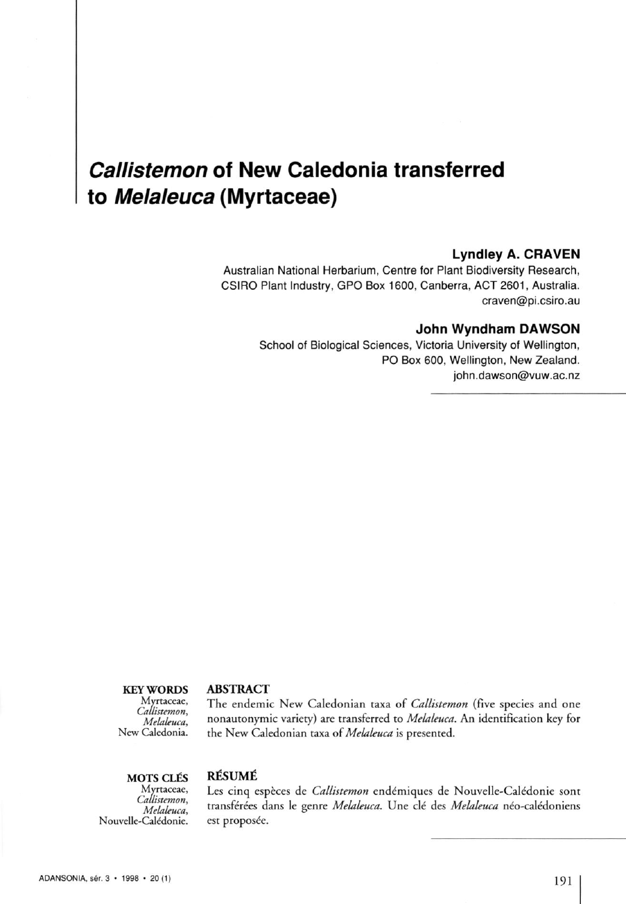## *Callistemon* **of New Caledonia transferred to** *Melaleuca* **(Myrtaceae)**

#### **Lyndley A. CRAVEN**

Australian National Herbarium, Centre for Plant Biodiversity Research, CSIRO Plant Industry, GPO Box 1600, Canberra, ACT 2601, Australia. [craven@pi.csiro.au](mailto:craven@pi.csiro.au) 

#### **John Wyndham DAWSON**

School of Biological Sciences, Victoria University of Wellington, PO Box 600, Wellington, New Zealand. [john.dawson@vuw.ac.nz](mailto:john.dawson@vuw.ac.nz) 

rtacea<br>ctama

#### **KEY WORDS ABSTRACT**

Callistemon,

<sup>e,</sup> The endemic New Caledonian taxa of *Callistemon* (five species and one *Melaleuca* nonautonymic variety) are transferred to *Melaleuca.* An identification key fot New Caledonia. the New Caledonian taxa of *Melaleuca* is presented.

# **MOTS CLÉS** RÉSUMÉ<br>Myrtaceae, Les cinq e

Callistemon, Nouvelle-Calédonie. est proposée.

nq espèces de *Callistemon* endémiques de Nouvelle-Calédonie sont *Melaleuca* transférées dans le genre *Melaleuca.* Une clé des *Melaleuca* néo-calédoniens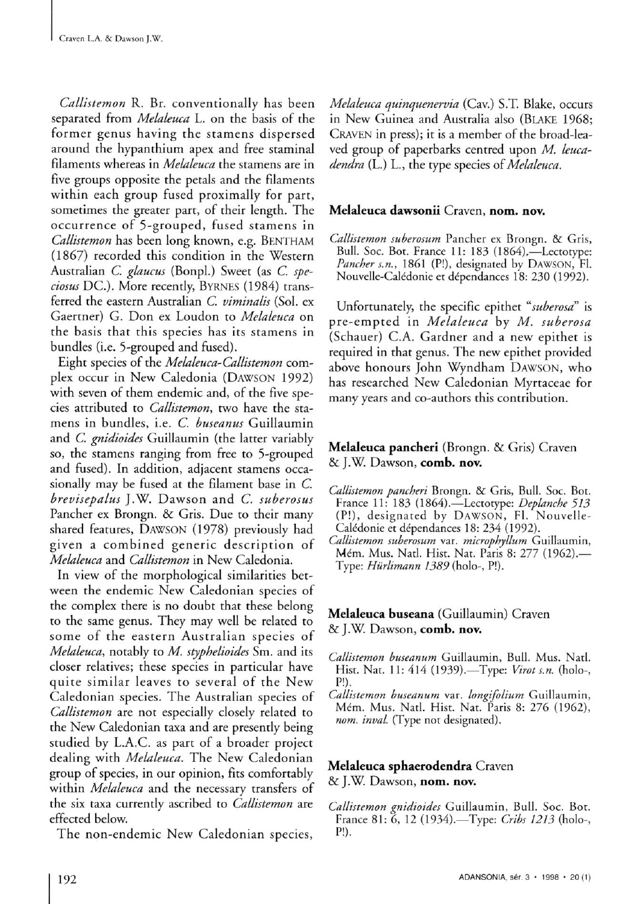*Callistemon* R. Br. conventionally has been separated from *Melaleuca* L. on the basis of the former genus having the stamens dispersed around the hypanthium apex and free staminal filaments whereas in *Melaleuca* the stamens are in five groups opposite the petals and the filaments within each group fused proximally for part, sometimes the greater part, of their length. The occurrence of 5-grouped, fused stamens in *Callistemon* has been long known, e.g. **BENTHAM**  (1867) recorded this condition in the Western Australian *C. glaucus* (Bonpl.) Sweet (as *C. speciosus* DC.). More recently, BYRNES (1984) transferred the eastern Australian *C. viminalis* (Sol. ex Gaertner) G. Don ex Loudon to *Melaleuca* on the basis that this species has its stamens in bundles (i.e. 5-grouped and fused).

Eight species of the *Melaleuca-Callistemon* complex occur in New Caledonia (DAWSON 1992) with seven of them endemic and, of the five species attributed to *Callistemon,* two have the stamens in bundles, i.e. *C. buseanus* Guillaumin and *C. gnidioides* Guillaumin (the latter variably so, the stamens ranging from free to 5-grouped and fused). In addition, adjacent stamens occasionally may be fused at the filament base in *C. brevisepalus* J.W. Dawson and *C. suberosus* Pancher ex Brongn. & Gris. Due to their many shared features, DAWSON (1978) previously had given a combined generic description of *Melaleuca* and *Callistemon* in New Caledonia.

In view of the morphological similarities between the endemic New Caledonian species of the complex there is no doubt that these belong to the same genus. They may well be related to some of the eastern Australian species of *Melaleuca,* notably to *M. styphelioides* Sm. and its closer relatives; these species in particular have quite similar leaves to several of the New Caledonian species. The Australian species of *Callistemon* are not especially closely related to the New Caledonian taxa and are presently being studied by L.A.C. as part of a broader project dealing with *Melaleuca.* The New Caledonian group of species, in our opinion, fits comfortably within *Melaleuca* and the necessary transfers of the six taxa currently ascribed to *Callistemon* are effected below.

The non-endemic New Caledonian species,

*Melaleuca quinquenervia* (Cav.) S.T. Blake, occurs in New Guinea and Australia also (BLAKE 1968; CRAVEN in press); it is a member of the broad-leaved group of paperbarks centred upon *M. leucadendra* (L.) L., the type species of *Melaleuca.* 

#### Melaleuca dawsonii Craven, nom. nov.

*Callistemon suberosum* Pancher ex Brongn. & Gris, Bull. Soc. Bot. France 11: 183 (1864).—Lectotype: *Pancher s.n.,* 1861 (P!), designated by **DAWSON ,** Fl. Nouvelle-Calédonie et dépendances 18: 230 (1992).

Unfortunately, the specific epithet *"suberosd"* is pre-empted in *Melaleuca* by *M. suberosa* (Schauer) C.A. Gardner and a new epithet is required in that genus. The new epithet provided above honours John Wyndham DAWSON, who has researched New Caledonian Myrtaceae for many years and co-authors this contribution.

#### **Melaleuca pancheri** (Brongn. & Gris) Craven & J.W. Dawson, comb. nov.

- *Callistemon pancheri* Brongn. & Gris, Bull. Soc. Bot. France 11: 183 (1864).—Lectotype: *Deplanche 513*  (P!), designated by **DAWSON ,** Fl. Nouvelle-Calédonie et dépendances 18: 234 (1992).
- *Callistemon suberosum* var. *microphyllum* Guillaumin, Mém. Mus. Natl. Hist. Nat. Paris 8: 277 (1962).— Type: *Hùrlimann 1389* (holo-, P!).

### Melaleuca buseana (Guillaumin) Craven & J.W. Dawson, comb. nov.

- *Callistemon buseanum* Guillaumin, Bull. Mus. Natl. Hist. Nat. 11: 414 (1939).—Type: *Virot s.n.* (holo-, P!).
- *Callistemon buseanum* var. *longifolium* Guillaumin, Mem. Mus. Natl. Hist. Nat. Paris 8: 276 (1962), *nom. inval.* (Type not designated).

### **Melaleuca sphaerodendra** Craven & J.W. Dawson, nom. nov.

*Callistemon gnidioides* Guillaumin, Bull. Soc. Bot. France 81: 6, 12 (1934).—Type: *Cribs 1213* (holo-, P!).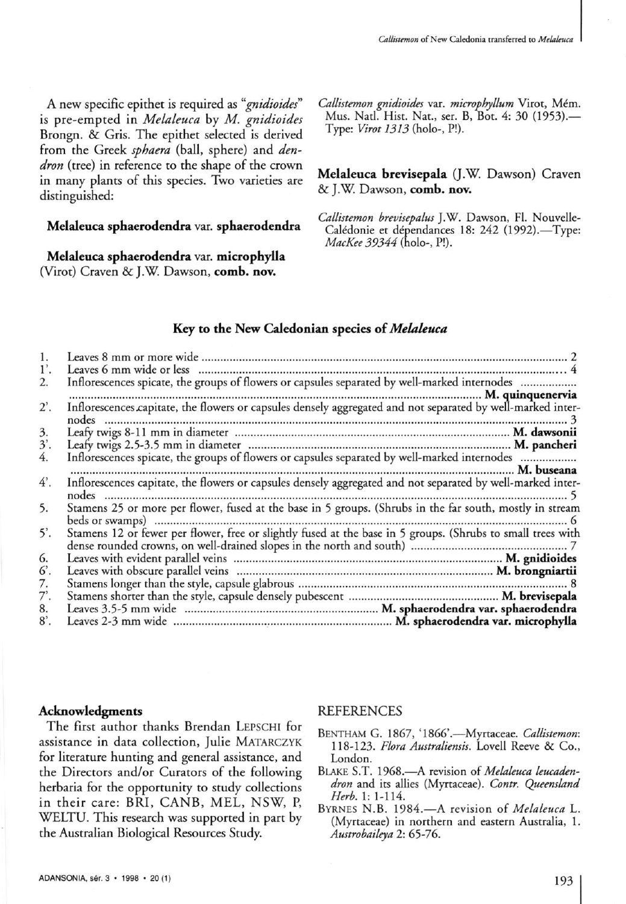A new specific epithet is required as *"gnidioides"*  is pre-empted in *Melaleuca* by *M. gnidioides*  Brongn. & Gris. The epithet selected is derived from the Greek *sphaera* (ball, sphere) and *dendron* (tree) in reference to the shape of the crown in many plants of this species. Two varieties are distinguished:

#### Melaleuca sphaerodendra var. sphaerodendra

Melaleuca sphaerodendra var. microphylla (Virot) Craven & J.W. Dawson, comb. nov.

*Callistemon gnidioides* var. *microphyllum* Virot, Mém. Mus. Natl. Hist. Nat., ser. B, Bot. 4: 30 (1953).— Type: *Virot 1313* (holo-, P!).

Melaleuca brevisepala (J.W. Dawson) Craven & J.W. Dawson, comb. nov.

*Callistemon brevisepalus* J.W. Dawson, Fl. Nouvelle-Calédonie et dépendances 18: 242 (1992).—Type: *MacKee 39344* (holo-, P!).

#### Key to the New Caledonian species of *Melaleuca*

| $1^{\prime}$ . |                                                                                                                      |
|----------------|----------------------------------------------------------------------------------------------------------------------|
| 2.             | Inflorescences spicate, the groups of flowers or capsules separated by well-marked internodes                        |
|                |                                                                                                                      |
| $2^\prime$ .   | Inflorescences capitate, the flowers or capsules densely aggregated and not separated by well-marked inter-<br>nodes |
| 3.             |                                                                                                                      |
| $3^\prime$ .   |                                                                                                                      |
| 4.             |                                                                                                                      |
| $4^\prime$ .   | Inflorescences capitate, the flowers or capsules densely aggregated and not separated by well-marked inter-<br>nodes |
| 5.             | Stamens 25 or more per flower, fused at the base in 5 groups. (Shrubs in the far south, mostly in stream             |
| $5^\prime$ .   |                                                                                                                      |
| 6.             |                                                                                                                      |
| 6.             |                                                                                                                      |
| 7.             |                                                                                                                      |
| 7'.            |                                                                                                                      |
| 8.             |                                                                                                                      |
| $8^\circ$ .    |                                                                                                                      |

#### Acknowledgments

The first author thanks Brendan LEPSCHI for assistance in data collection, Julie MATARCZYK for literature hunting and general assistance, and the Directors and/or Curators of the following herbaria for the opportunity to study collections in their care: BRI, CANB, MEL, NSW, P, WELTU. This research was supported in part by the Australian Biological Resources Study.

#### REFERENCES

- BENTHAM G. 1867, '1866'.--Myrtaceae. Callistemon: 118-123. *Flora Australiensis.* Lovell Reeve & Co., London.
- BLAKE S.T. 1968.—A revision of *Melaleuca leucadendron* and its allies (Myttaceae). *Contr. Queensland Herb.* 1: 1-114.
- BYRNES N.B. 1984.- A revision of *Melaleuca* L. (Myrtaceae) in northern and eastern Australia, 1. *Austrobaileya 2:* 65-76.